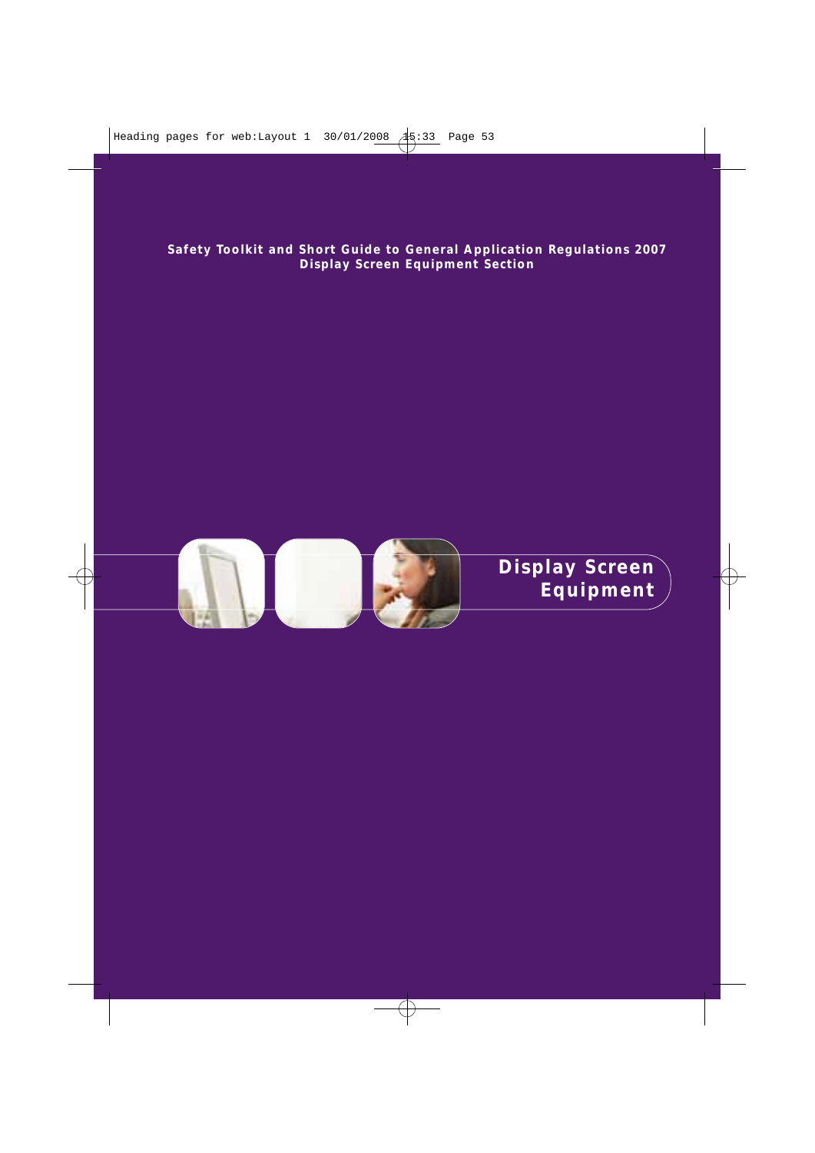**Safety Toolkit and Short Guide to General Application Regulations 2007 Display Screen Equipment Section**

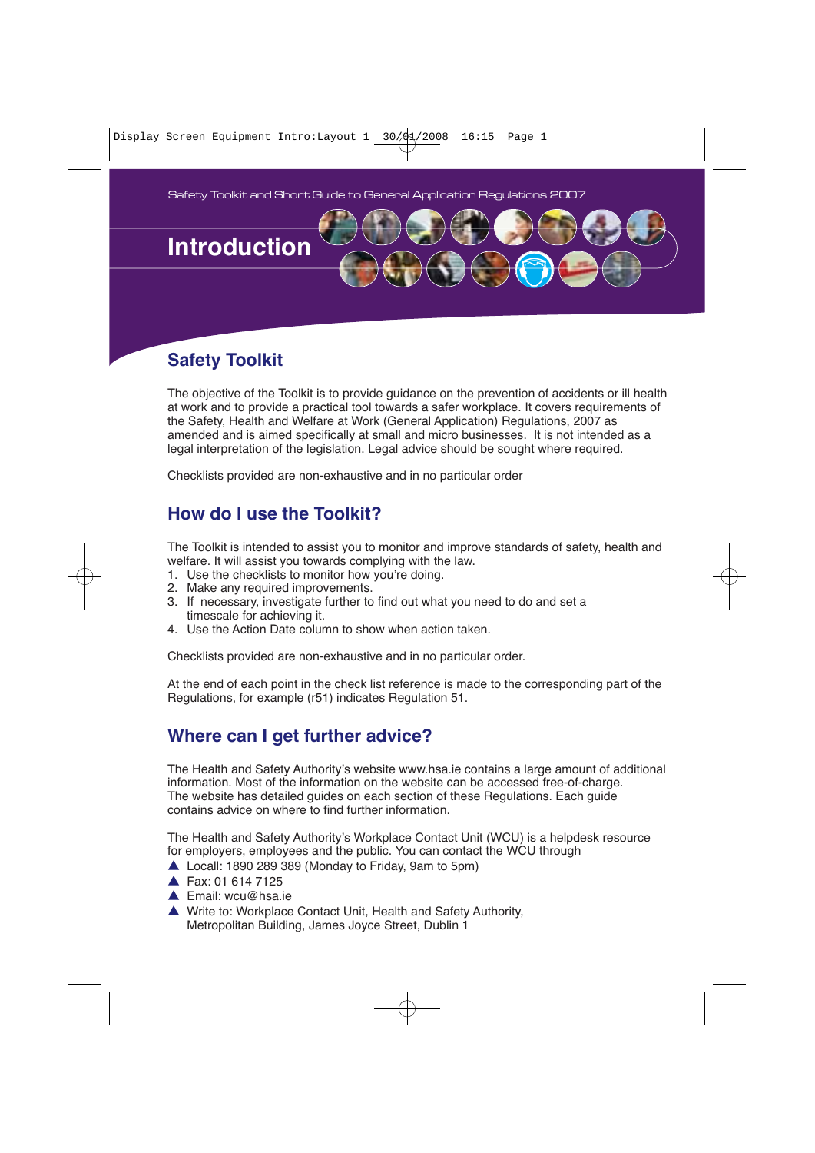Safety Toolkit and Short Guide to General Application Regulations 2007



# **Safety Toolkit**

The objective of the Toolkit is to provide guidance on the prevention of accidents or ill health at work and to provide a practical tool towards a safer workplace. It covers requirements of the Safety, Health and Welfare at Work (General Application) Regulations, 2007 as amended and is aimed specifically at small and micro businesses. It is not intended as a legal interpretation of the legislation. Legal advice should be sought where required.

Checklists provided are non-exhaustive and in no particular order

### **How do I use the Toolkit?**

The Toolkit is intended to assist you to monitor and improve standards of safety, health and welfare. It will assist you towards complying with the law.

- 1. Use the checklists to monitor how you're doing.
- 2. Make any required improvements.
- 3. If necessary, investigate further to find out what you need to do and set a timescale for achieving it.
- 4. Use the Action Date column to show when action taken.

Checklists provided are non-exhaustive and in no particular order.

At the end of each point in the check list reference is made to the corresponding part of the Regulations, for example (r51) indicates Regulation 51.

#### **Where can I get further advice?**

The Health and Safety Authority's website www.hsa.ie contains a large amount of additional information. Most of the information on the website can be accessed free-of-charge. The website has detailed guides on each section of these Regulations. Each guide contains advice on where to find further information.

The Health and Safety Authority's Workplace Contact Unit (WCU) is a helpdesk resource for employers, employees and the public. You can contact the WCU through

- $\triangle$  Locall: 1890 289 389 (Monday to Friday, 9am to 5pm)
- ▲ Fax: 01 614 7125
- ▲ Email: wcu@hsa.ie
- ▲ Write to: Workplace Contact Unit, Health and Safety Authority, Metropolitan Building, James Joyce Street, Dublin 1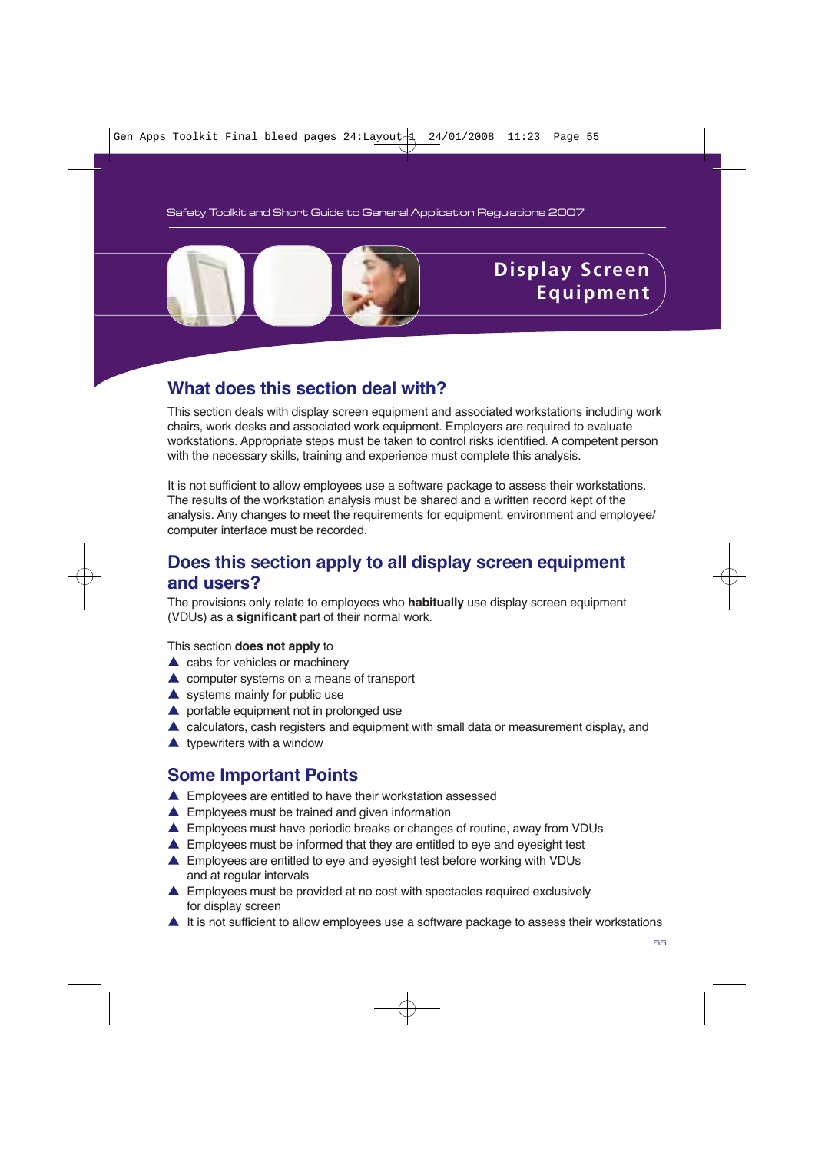

# **Display Screen Equipment**

#### **What does this section deal with?**

This section deals with display screen equipment and associated workstations including work chairs, work desks and associated work equipment. Employers are required to evaluate workstations. Appropriate steps must be taken to control risks identified. A competent person with the necessary skills, training and experience must complete this analysis.

It is not sufficient to allow employees use a software package to assess their workstations. The results of the workstation analysis must be shared and a written record kept of the analysis. Any changes to meet the requirements for equipment, environment and employee/ computer interface must be recorded.

#### **Does this section apply to all display screen equipment and users?**

The provisions only relate to employees who **habitually** use display screen equipment (VDUs) as a **significant** part of their normal work.

#### This section **does not apply** to

- $\triangle$  cabs for vehicles or machinery
- $\triangle$  computer systems on a means of transport
- $\triangle$  systems mainly for public use
- $\triangle$  portable equipment not in prolonged use
- $\blacktriangle$  calculators, cash registers and equipment with small data or measurement display, and
- $\triangle$  typewriters with a window

#### **Some Important Points**

- ▲ Employees are entitled to have their workstation assessed
- $\triangle$  Employees must be trained and given information
- ▲ Employees must have periodic breaks or changes of routine, away from VDUs
- ▲ Employees must be informed that they are entitled to eye and eyesight test
- ▲ Employees are entitled to eye and eyesight test before working with VDUs and at regular intervals
- ▲ Employees must be provided at no cost with spectacles required exclusively for display screen
- ▲ It is not sufficient to allow employees use a software package to assess their workstations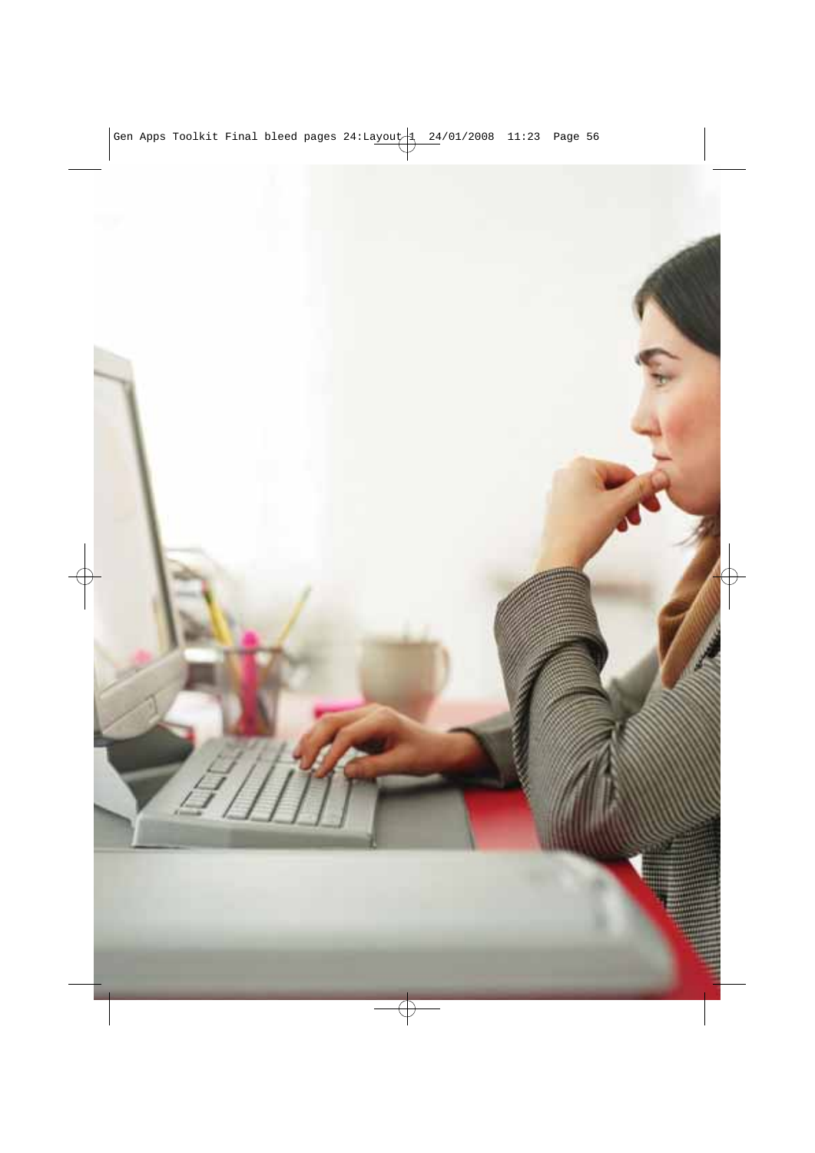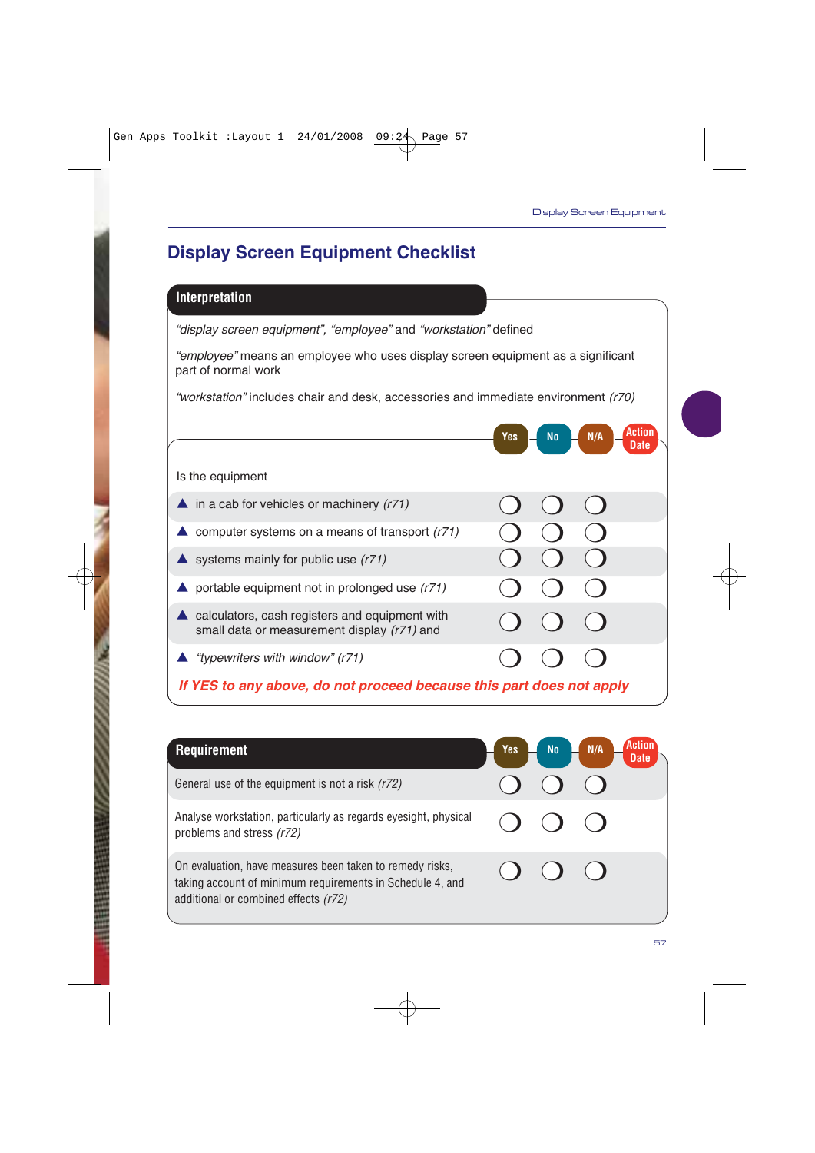## **Display Screen Equipment Checklist**

#### **Interpretation**

"display screen equipment", "employee" and "workstation" defined

"employee" means an employee who uses display screen equipment as a significant part of normal work

"workstation" includes chair and desk, accessories and immediate environment (r70)

|                                                                                                 | Actio<br>N/A<br>Yes<br><b>No</b> |
|-------------------------------------------------------------------------------------------------|----------------------------------|
| Is the equipment                                                                                |                                  |
| $\blacktriangle$ in a cab for vehicles or machinery (r71)                                       |                                  |
| $\triangle$ computer systems on a means of transport (r71)                                      |                                  |
| $\triangle$ systems mainly for public use (r71)                                                 |                                  |
| $\triangle$ portable equipment not in prolonged use (r71)                                       |                                  |
| ▲ calculators, cash registers and equipment with<br>small data or measurement display (r71) and |                                  |
| $\blacktriangle$ "typewriters with window" (r71)                                                |                                  |
| If YES to any above, do not proceed because this part does not apply                            |                                  |

| <b>Requirement</b>                                                                                                                                            | Yes | $N_0$                                                                                                                   | N/A | <b>Action</b> |
|---------------------------------------------------------------------------------------------------------------------------------------------------------------|-----|-------------------------------------------------------------------------------------------------------------------------|-----|---------------|
| General use of the equipment is not a risk (r72)                                                                                                              |     |                                                                                                                         |     |               |
| Analyse workstation, particularly as regards eyesight, physical<br>problems and stress (r72)                                                                  |     | $\sqrt{2}$                                                                                                              |     |               |
| On evaluation, have measures been taken to remedy risks,<br>taking account of minimum requirements in Schedule 4, and<br>additional or combined effects (r72) |     | $\left( \begin{array}{ccc} \cdot & \cdot & \cdot \\ \cdot & \cdot & \cdot \\ \cdot & \cdot & \cdot \end{array} \right)$ |     |               |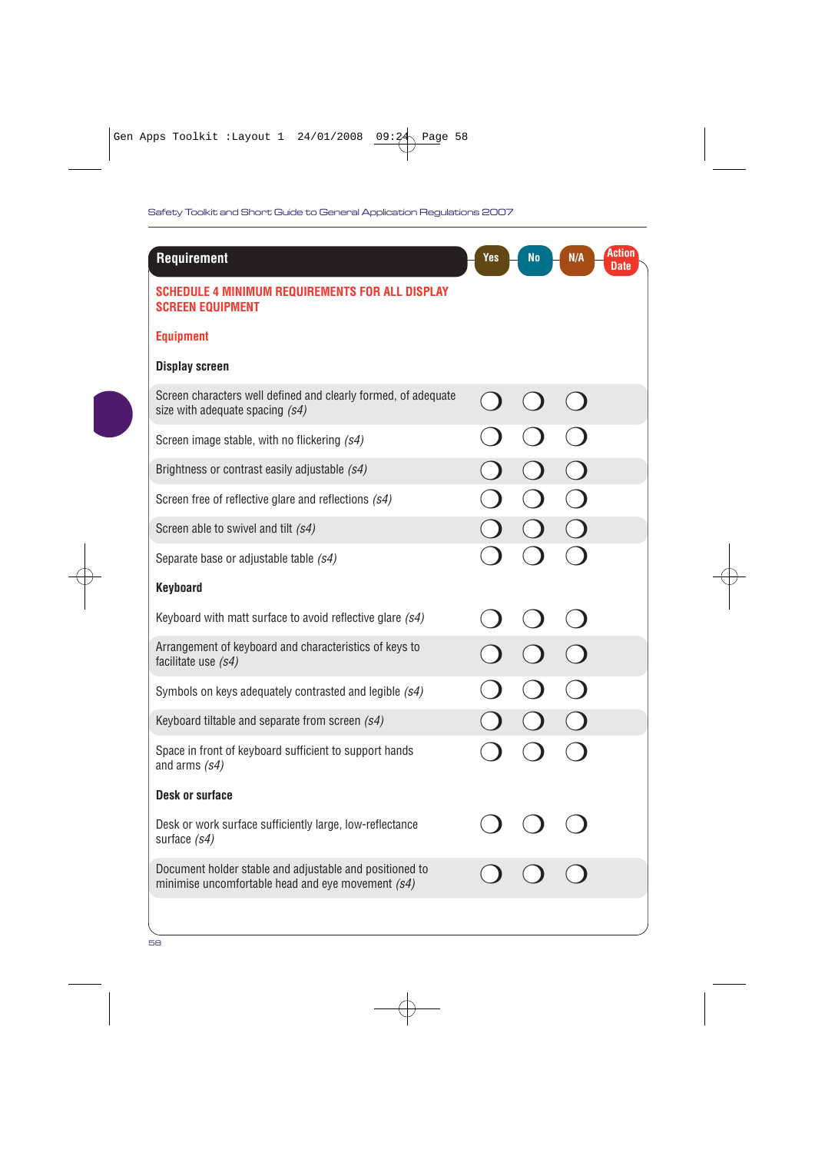| Requirement                                                                                                  | Yes | N <sub>0</sub> | N/A | <b>Action</b><br>Date |
|--------------------------------------------------------------------------------------------------------------|-----|----------------|-----|-----------------------|
| SCHEDULE 4 MINIMUM REQUIREMENTS FOR ALL DISPLAY<br><b>SCREEN EQUIPMENT</b>                                   |     |                |     |                       |
| <b>Equipment</b>                                                                                             |     |                |     |                       |
| <b>Display screen</b>                                                                                        |     |                |     |                       |
| Screen characters well defined and clearly formed, of adequate<br>size with adequate spacing (s4)            |     |                |     |                       |
| Screen image stable, with no flickering (s4)                                                                 |     |                |     |                       |
| Brightness or contrast easily adjustable (s4)                                                                |     |                |     |                       |
| Screen free of reflective glare and reflections (s4)                                                         |     |                |     |                       |
| Screen able to swivel and tilt (s4)                                                                          |     |                |     |                       |
| Separate base or adjustable table (s4)                                                                       |     |                |     |                       |
| <b>Keyboard</b>                                                                                              |     |                |     |                       |
| Keyboard with matt surface to avoid reflective glare (s4)                                                    |     |                |     |                       |
| Arrangement of keyboard and characteristics of keys to<br>facilitate use (s4)                                |     |                |     |                       |
| Symbols on keys adequately contrasted and legible (s4)                                                       |     |                |     |                       |
| Keyboard tiltable and separate from screen (s4)                                                              |     |                |     |                       |
| Space in front of keyboard sufficient to support hands<br>and arms $(s4)$                                    |     |                |     |                       |
| Desk or surface                                                                                              |     |                |     |                       |
| Desk or work surface sufficiently large, low-reflectance<br>surface $(s4)$                                   |     |                |     |                       |
| Document holder stable and adjustable and positioned to<br>minimise uncomfortable head and eye movement (s4) |     |                |     |                       |
|                                                                                                              |     |                |     |                       |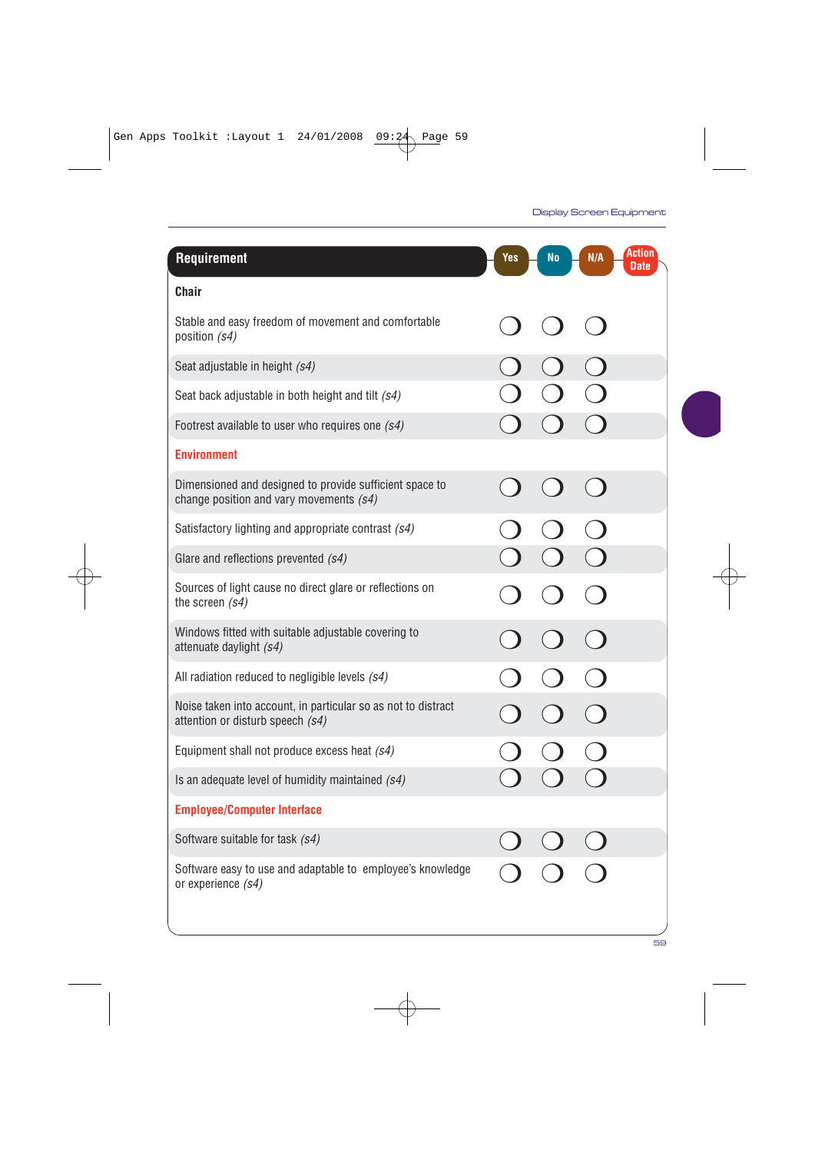| <b>Requirement</b>                                                                                   | Yes | N <sub>0</sub> | <b>Action</b><br>N/A<br>Date |
|------------------------------------------------------------------------------------------------------|-----|----------------|------------------------------|
| Chair                                                                                                |     |                |                              |
| Stable and easy freedom of movement and comfortable<br>position (s4)                                 |     |                |                              |
| Seat adjustable in height (s4)                                                                       |     |                |                              |
| Seat back adjustable in both height and tilt (s4)                                                    |     |                |                              |
| Footrest available to user who requires one (s4)                                                     |     |                |                              |
| <b>Environment</b>                                                                                   |     |                |                              |
| Dimensioned and designed to provide sufficient space to<br>change position and vary movements $(s4)$ |     |                |                              |
| Satisfactory lighting and appropriate contrast (s4)                                                  |     |                |                              |
| Glare and reflections prevented (s4)                                                                 |     |                |                              |
| Sources of light cause no direct glare or reflections on<br>the screen $(s4)$                        |     |                |                              |
| Windows fitted with suitable adjustable covering to<br>attenuate daylight (s4)                       |     |                |                              |
| All radiation reduced to negligible levels (s4)                                                      |     |                |                              |
| Noise taken into account, in particular so as not to distract<br>attention or disturb speech (s4)    |     |                |                              |
| Equipment shall not produce excess heat (s4)                                                         |     |                |                              |
| Is an adequate level of humidity maintained (s4)                                                     |     |                |                              |
| <b>Employee/Computer Interface</b>                                                                   |     |                |                              |
| Software suitable for task (s4)                                                                      |     |                |                              |
| Software easy to use and adaptable to employee's knowledge<br>or experience (s4)                     |     |                |                              |